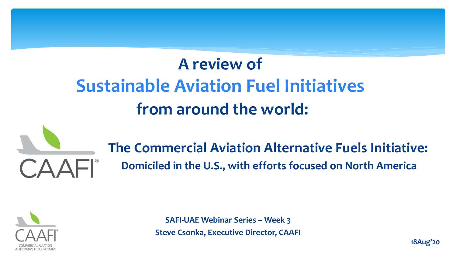## **A review of Sustainable Aviation Fuel Initiatives from around the world:**



**The Commercial Aviation Alternative Fuels Initiative: Domiciled in the U.S., with efforts focused on North America**



**SAFI-UAE Webinar Series – Week 3 Steve Csonka, Executive Director, CAAFI**

**18Aug'20**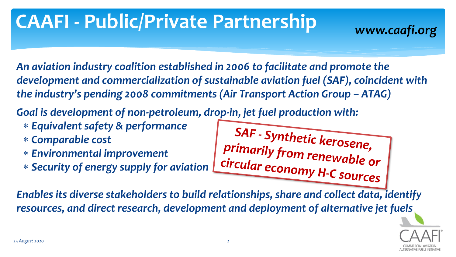# **CAAFI - Public/Private Partnership** *www.caafi.org*

*An aviation industry coalition established in 2006 to facilitate and promote the development and commercialization of sustainable aviation fuel (SAF), coincident with the industry's pending 2008 commitments (Air Transport Action Group – ATAG)* 

*Goal is development of non-petroleum, drop-in, jet fuel production with:*

- *Equivalent safety & performance*
- *Comparable cost*
- *Environmental improvement*
- *Security of energy supply for aviation*

SAF - Synthetic kerosene,<br>primarily from renewable or circular economy H-C sources

*Enables its diverse stakeholders to build relationships, share and collect data, identify resources, and direct research, development and deployment of alternative jet fuels*

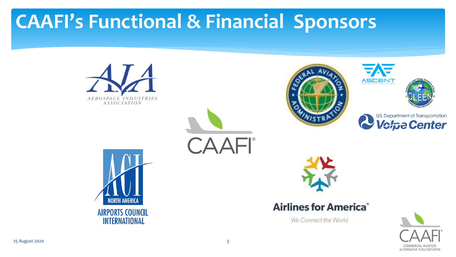## **CAAFI's Functional & Financial Sponsors**



COMMERCIAL AVIATION **ALTERNATIVE FUELS INITIATIVE**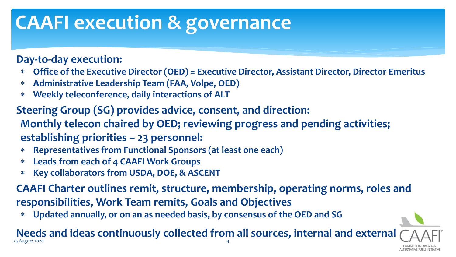## **CAAFI execution & governance**

#### **Day-to-day execution:**

- **Office of the Executive Director (OED) = Executive Director, Assistant Director, Director Emeritus**
- **Administrative Leadership Team (FAA, Volpe, OED)**
- **Weekly teleconference, daily interactions of ALT**
- **Steering Group (SG) provides advice, consent, and direction: Monthly telecon chaired by OED; reviewing progress and pending activities; establishing priorities – 23 personnel:**
	- **Representatives from Functional Sponsors (at least one each)**
	- **Leads from each of 4 CAAFI Work Groups**
	- **Key collaborators from USDA, DOE, & ASCENT**

**CAAFI Charter outlines remit, structure, membership, operating norms, roles and responsibilities, Work Team remits, Goals and Objectives**

**Updated annually, or on an as needed basis, by consensus of the OED and SG**

**Needs and ideas continuously collected from all sources, internal and external** 25 August 2020 4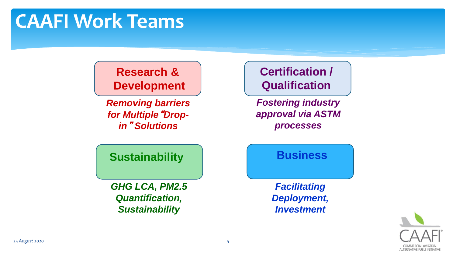#### **Research & Development**

*Removing barriers for Multiple*"*Dropin*" *Solutions*

#### **Certification / Qualification**

*Fostering industry approval via ASTM processes*

**Sustainability**

*GHG LCA, PM2.5 Quantification, Sustainability*

#### **Business**

*Facilitating Deployment, Investment*

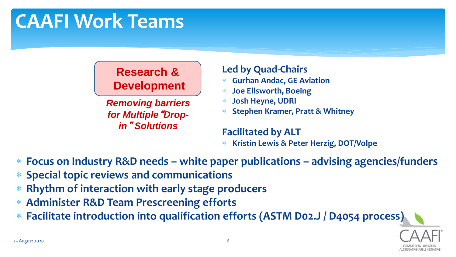#### **Research & Development**

*Removing barriers for Multiple*"*Dropin*" *Solutions*

#### **Led by Quad-Chairs**

- **Gurhan Andac, GE Aviation**
- **Joe Ellsworth, Boeing**
- **Josh Heyne, UDRI**
- **Stephen Kramer, Pratt & Whitney**

#### **Facilitated by ALT**

- **Kristin Lewis & Peter Herzig, DOT/Volpe**
- **Focus on Industry R&D needs – white paper publications – advising agencies/funders**
- **Special topic reviews and communications**
- **Rhythm of interaction with early stage producers**
- **Administer R&D Team Prescreening efforts**
- **Facilitate introduction into qualification efforts (ASTM D02.J / D4054 process)**

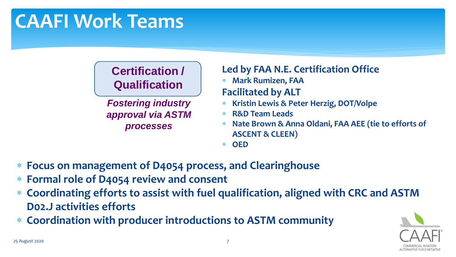#### **Certification / Qualification**

*Fostering industry approval via ASTM processes*

#### **Led by FAA N.E. Certification Office**

**Mark Rumizen, FAA**

#### **Facilitated by ALT**

- **Kristin Lewis & Peter Herzig, DOT/Volpe**
- **R&D Team Leads**
- **Nate Brown & Anna Oldani, FAA AEE (tie to efforts of ASCENT & CLEEN)**

**OED**

- **Focus on management of D4054 process, and Clearinghouse**
- **Formal role of D4054 review and consent**
- **Coordinating efforts to assist with fuel qualification, aligned with CRC and ASTM D02.J activities efforts**
- **Coordination with producer introductions to ASTM community**

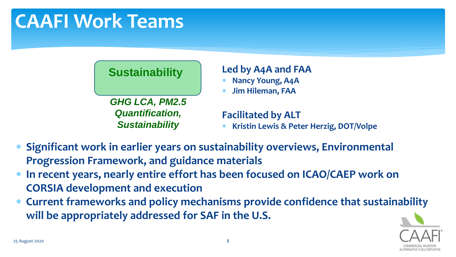#### **Sustainability**

*GHG LCA, PM2.5 Quantification, Sustainability*

#### **Led by A4A and FAA**

- **Nancy Young, A4A**
- **Jim Hileman, FAA**

#### **Facilitated by ALT**

- **Kristin Lewis & Peter Herzig, DOT/Volpe**
- **Significant work in earlier years on sustainability overviews, Environmental Progression Framework, and guidance materials**
- **In recent years, nearly entire effort has been focused on ICAO/CAEP work on CORSIA development and execution**
- **Current frameworks and policy mechanisms provide confidence that sustainability will be appropriately addressed for SAF in the U.S.**

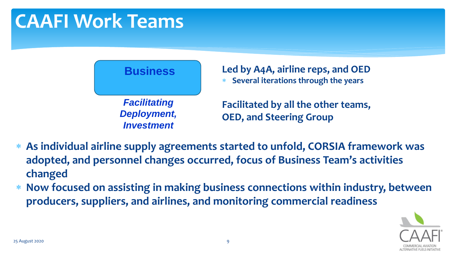

- **As individual airline supply agreements started to unfold, CORSIA framework was adopted, and personnel changes occurred, focus of Business Team's activities changed**
- **Now focused on assisting in making business connections within industry, between producers, suppliers, and airlines, and monitoring commercial readiness**

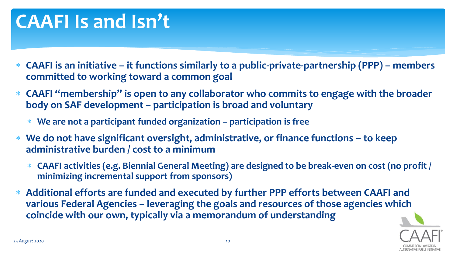### **CAAFI Is and Isn't**

- **CAAFI is an initiative – it functions similarly to a public-private-partnership (PPP) – members committed to working toward a common goal**
- **CAAFI "membership" is open to any collaborator who commits to engage with the broader body on SAF development – participation is broad and voluntary**
	- **We are not a participant funded organization – participation is free**
- **We do not have significant oversight, administrative, or finance functions – to keep administrative burden / cost to a minimum**
	- **CAAFI activities (e.g. Biennial General Meeting) are designed to be break-even on cost (no profit / minimizing incremental support from sponsors)**
- **Additional efforts are funded and executed by further PPP efforts between CAAFI and various Federal Agencies – leveraging the goals and resources of those agencies which coincide with our own, typically via a memorandum of understanding**

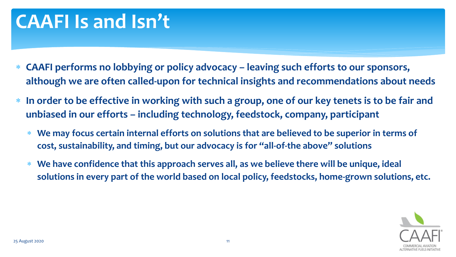### **CAAFI Is and Isn't**

- **CAAFI performs no lobbying or policy advocacy – leaving such efforts to our sponsors, although we are often called-upon for technical insights and recommendations about needs**
- **In order to be effective in working with such a group, one of our key tenets is to be fair and unbiased in our efforts – including technology, feedstock, company, participant**
	- **We may focus certain internal efforts on solutions that are believed to be superior in terms of cost, sustainability, and timing, but our advocacy is for "all-of-the above" solutions**
	- **We have confidence that this approach serves all, as we believe there will be unique, ideal solutions in every part of the world based on local policy, feedstocks, home-grown solutions, etc.**

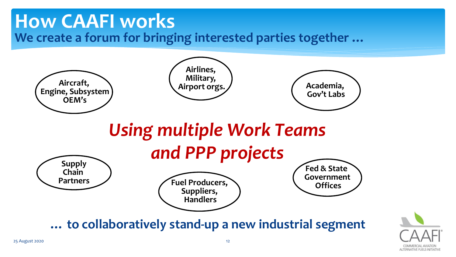### **How CAAFI works We create a forum for bringing interested parties together …**



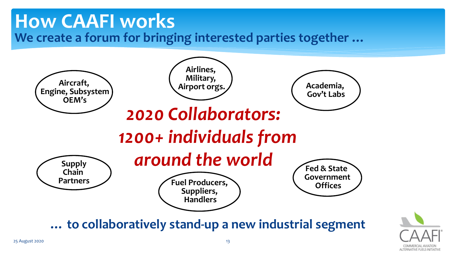### **How CAAFI works We create a forum for bringing interested parties together …**



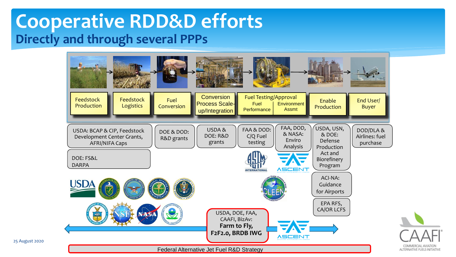### **Cooperative RDD&D efforts Directly and through several PPPs**

25 August 2020

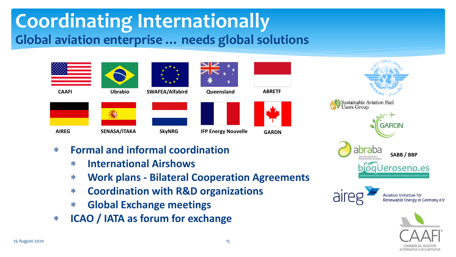### **Coordinating Internationally Global aviation enterprise … needs global solutions**

| <b>CAAFI</b> | <b>Ubrabio</b> | SWAFEA/Alfabird | Queensland                 |
|--------------|----------------|-----------------|----------------------------|
|              |                |                 |                            |
| <b>AIREG</b> | SENASA/ITAKA   | <b>SkyNRG</b>   | <b>IFP Energy Nouvelle</b> |



**ABRETF**

- **Formal and informal coordination**
	- **International Airshows**
	- **Work plans - Bilateral Cooperation Agreements**
	- **Coordination with R&D organizations**
	- **Global Exchange meetings**
- **ICAO / IATA as forum for exchange**





Renewable Energy in Germany e.V.

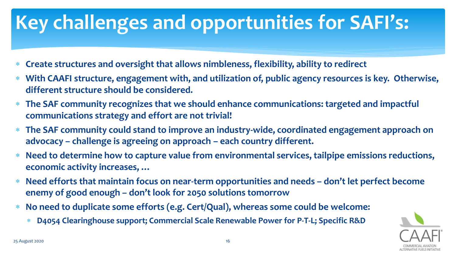# **Key challenges and opportunities for SAFI's:**

- **Create structures and oversight that allows nimbleness, flexibility, ability to redirect**
- **With CAAFI structure, engagement with, and utilization of, public agency resources is key. Otherwise, different structure should be considered.**
- **The SAF community recognizes that we should enhance communications: targeted and impactful communications strategy and effort are not trivial!**
- **The SAF community could stand to improve an industry-wide, coordinated engagement approach on advocacy – challenge is agreeing on approach – each country different.**
- **Need to determine how to capture value from environmental services, tailpipe emissions reductions, economic activity increases, …**
- **Need efforts that maintain focus on near-term opportunities and needs – don't let perfect become enemy of good enough – don't look for 2050 solutions tomorrow**
- **No need to duplicate some efforts (e.g. Cert/Qual), whereas some could be welcome:**
	- **D4054 Clearinghouse support; Commercial Scale Renewable Power for P-T-L; Specific R&D**